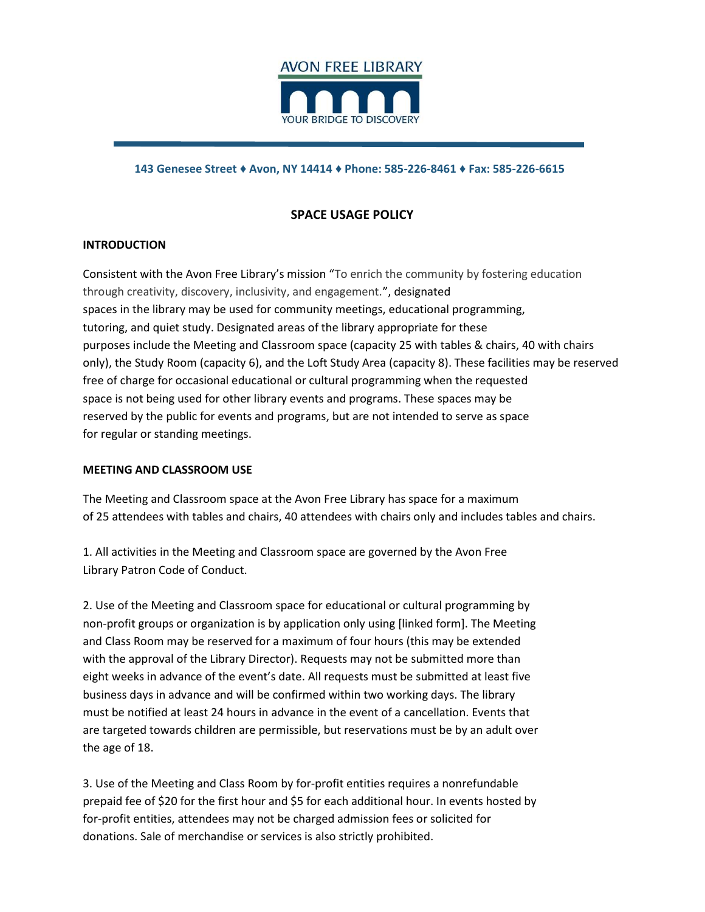

### 143 Genesee Street ♦ Avon, NY 14414 ♦ Phone: 585-226-8461 ♦ Fax: 585-226-6615

# SPACE USAGE POLICY

## INTRODUCTION

Consistent with the Avon Free Library's mission "To enrich the community by fostering education through creativity, discovery, inclusivity, and engagement.", designated spaces in the library may be used for community meetings, educational programming, tutoring, and quiet study. Designated areas of the library appropriate for these purposes include the Meeting and Classroom space (capacity 25 with tables & chairs, 40 with chairs only), the Study Room (capacity 6), and the Loft Study Area (capacity 8). These facilities may be reserved free of charge for occasional educational or cultural programming when the requested space is not being used for other library events and programs. These spaces may be reserved by the public for events and programs, but are not intended to serve as space for regular or standing meetings.

## MEETING AND CLASSROOM USE

The Meeting and Classroom space at the Avon Free Library has space for a maximum of 25 attendees with tables and chairs, 40 attendees with chairs only and includes tables and chairs.

1. All activities in the Meeting and Classroom space are governed by the Avon Free Library Patron Code of Conduct.

2. Use of the Meeting and Classroom space for educational or cultural programming by non-profit groups or organization is by application only using [linked form]. The Meeting and Class Room may be reserved for a maximum of four hours (this may be extended with the approval of the Library Director). Requests may not be submitted more than eight weeks in advance of the event's date. All requests must be submitted at least five business days in advance and will be confirmed within two working days. The library must be notified at least 24 hours in advance in the event of a cancellation. Events that are targeted towards children are permissible, but reservations must be by an adult over the age of 18.

3. Use of the Meeting and Class Room by for-profit entities requires a nonrefundable prepaid fee of \$20 for the first hour and \$5 for each additional hour. In events hosted by for-profit entities, attendees may not be charged admission fees or solicited for donations. Sale of merchandise or services is also strictly prohibited.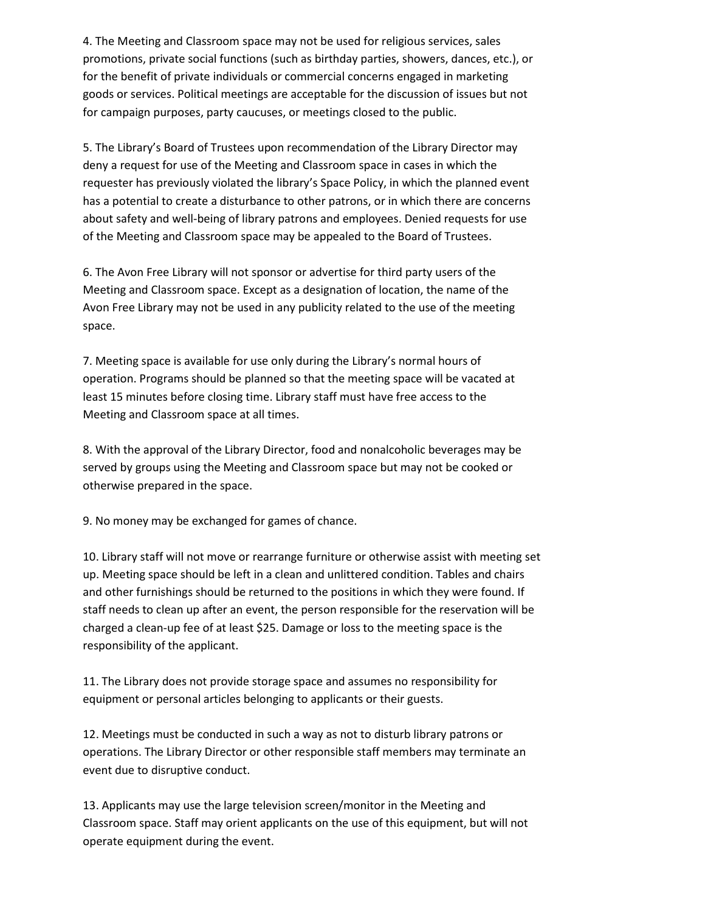4. The Meeting and Classroom space may not be used for religious services, sales promotions, private social functions (such as birthday parties, showers, dances, etc.), or for the benefit of private individuals or commercial concerns engaged in marketing goods or services. Political meetings are acceptable for the discussion of issues but not for campaign purposes, party caucuses, or meetings closed to the public.

5. The Library's Board of Trustees upon recommendation of the Library Director may deny a request for use of the Meeting and Classroom space in cases in which the requester has previously violated the library's Space Policy, in which the planned event has a potential to create a disturbance to other patrons, or in which there are concerns about safety and well-being of library patrons and employees. Denied requests for use of the Meeting and Classroom space may be appealed to the Board of Trustees.

6. The Avon Free Library will not sponsor or advertise for third party users of the Meeting and Classroom space. Except as a designation of location, the name of the Avon Free Library may not be used in any publicity related to the use of the meeting space.

7. Meeting space is available for use only during the Library's normal hours of operation. Programs should be planned so that the meeting space will be vacated at least 15 minutes before closing time. Library staff must have free access to the Meeting and Classroom space at all times.

8. With the approval of the Library Director, food and nonalcoholic beverages may be served by groups using the Meeting and Classroom space but may not be cooked or otherwise prepared in the space.

9. No money may be exchanged for games of chance.

10. Library staff will not move or rearrange furniture or otherwise assist with meeting set up. Meeting space should be left in a clean and unlittered condition. Tables and chairs and other furnishings should be returned to the positions in which they were found. If staff needs to clean up after an event, the person responsible for the reservation will be charged a clean-up fee of at least \$25. Damage or loss to the meeting space is the responsibility of the applicant.

11. The Library does not provide storage space and assumes no responsibility for equipment or personal articles belonging to applicants or their guests.

12. Meetings must be conducted in such a way as not to disturb library patrons or operations. The Library Director or other responsible staff members may terminate an event due to disruptive conduct.

13. Applicants may use the large television screen/monitor in the Meeting and Classroom space. Staff may orient applicants on the use of this equipment, but will not operate equipment during the event.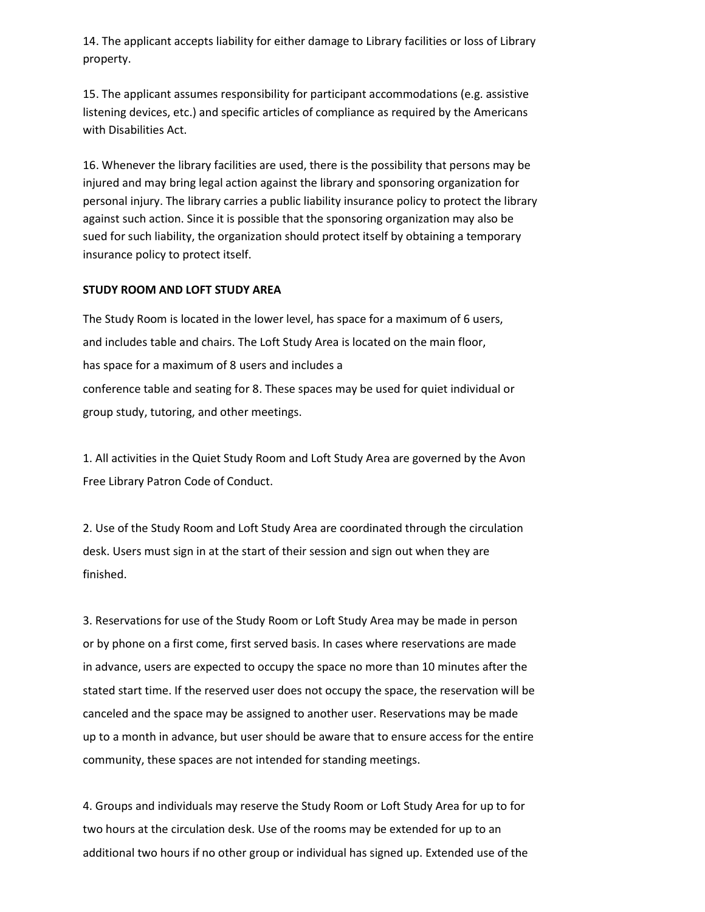14. The applicant accepts liability for either damage to Library facilities or loss of Library property.

15. The applicant assumes responsibility for participant accommodations (e.g. assistive listening devices, etc.) and specific articles of compliance as required by the Americans with Disabilities Act.

16. Whenever the library facilities are used, there is the possibility that persons may be injured and may bring legal action against the library and sponsoring organization for personal injury. The library carries a public liability insurance policy to protect the library against such action. Since it is possible that the sponsoring organization may also be sued for such liability, the organization should protect itself by obtaining a temporary insurance policy to protect itself.

## STUDY ROOM AND LOFT STUDY AREA

The Study Room is located in the lower level, has space for a maximum of 6 users, and includes table and chairs. The Loft Study Area is located on the main floor, has space for a maximum of 8 users and includes a conference table and seating for 8. These spaces may be used for quiet individual or group study, tutoring, and other meetings.

1. All activities in the Quiet Study Room and Loft Study Area are governed by the Avon Free Library Patron Code of Conduct.

2. Use of the Study Room and Loft Study Area are coordinated through the circulation desk. Users must sign in at the start of their session and sign out when they are finished.

3. Reservations for use of the Study Room or Loft Study Area may be made in person or by phone on a first come, first served basis. In cases where reservations are made in advance, users are expected to occupy the space no more than 10 minutes after the stated start time. If the reserved user does not occupy the space, the reservation will be canceled and the space may be assigned to another user. Reservations may be made up to a month in advance, but user should be aware that to ensure access for the entire community, these spaces are not intended for standing meetings.

4. Groups and individuals may reserve the Study Room or Loft Study Area for up to for two hours at the circulation desk. Use of the rooms may be extended for up to an additional two hours if no other group or individual has signed up. Extended use of the